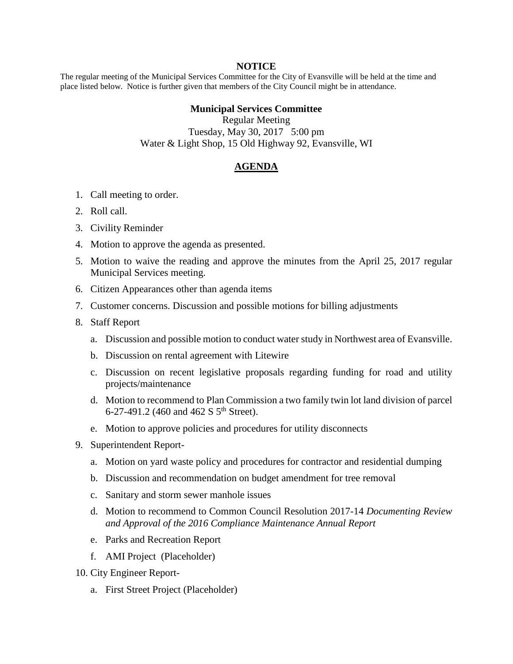## **NOTICE**

The regular meeting of the Municipal Services Committee for the City of Evansville will be held at the time and place listed below. Notice is further given that members of the City Council might be in attendance.

## **Municipal Services Committee**

Regular Meeting Tuesday, May 30, 2017 5:00 pm Water & Light Shop, 15 Old Highway 92, Evansville, WI

## **AGENDA**

- 1. Call meeting to order.
- 2. Roll call.
- 3. Civility Reminder
- 4. Motion to approve the agenda as presented.
- 5. Motion to waive the reading and approve the minutes from the April 25, 2017 regular Municipal Services meeting.
- 6. Citizen Appearances other than agenda items
- 7. Customer concerns. Discussion and possible motions for billing adjustments
- 8. Staff Report
	- a. Discussion and possible motion to conduct water study in Northwest area of Evansville.
	- b. Discussion on rental agreement with Litewire
	- c. Discussion on recent legislative proposals regarding funding for road and utility projects/maintenance
	- d. Motion to recommend to Plan Commission a two family twin lot land division of parcel 6-27-491.2 (460 and 462 S  $5^{th}$  Street).
	- e. Motion to approve policies and procedures for utility disconnects
- 9. Superintendent Report
	- a. Motion on yard waste policy and procedures for contractor and residential dumping
	- b. Discussion and recommendation on budget amendment for tree removal
	- c. Sanitary and storm sewer manhole issues
	- d. Motion to recommend to Common Council Resolution 2017-14 *Documenting Review and Approval of the 2016 Compliance Maintenance Annual Report*
	- e. Parks and Recreation Report
	- f. AMI Project (Placeholder)
- 10. City Engineer Report
	- a. First Street Project (Placeholder)